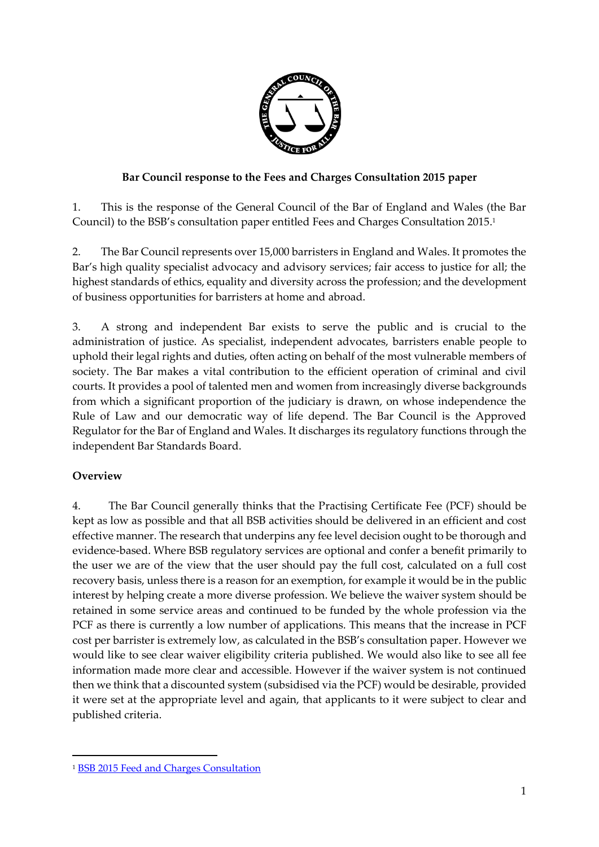

## **Bar Council response to the Fees and Charges Consultation 2015 paper**

1. This is the response of the General Council of the Bar of England and Wales (the Bar Council) to the BSB's consultation paper entitled Fees and Charges Consultation 2015. 1

2. The Bar Council represents over 15,000 barristers in England and Wales. It promotes the Bar's high quality specialist advocacy and advisory services; fair access to justice for all; the highest standards of ethics, equality and diversity across the profession; and the development of business opportunities for barristers at home and abroad.

3. A strong and independent Bar exists to serve the public and is crucial to the administration of justice. As specialist, independent advocates, barristers enable people to uphold their legal rights and duties, often acting on behalf of the most vulnerable members of society. The Bar makes a vital contribution to the efficient operation of criminal and civil courts. It provides a pool of talented men and women from increasingly diverse backgrounds from which a significant proportion of the judiciary is drawn, on whose independence the Rule of Law and our democratic way of life depend. The Bar Council is the Approved Regulator for the Bar of England and Wales. It discharges its regulatory functions through the independent Bar Standards Board.

# **Overview**

 $\overline{a}$ 

4. The Bar Council generally thinks that the Practising Certificate Fee (PCF) should be kept as low as possible and that all BSB activities should be delivered in an efficient and cost effective manner. The research that underpins any fee level decision ought to be thorough and evidence-based. Where BSB regulatory services are optional and confer a benefit primarily to the user we are of the view that the user should pay the full cost, calculated on a full cost recovery basis, unless there is a reason for an exemption, for example it would be in the public interest by helping create a more diverse profession. We believe the waiver system should be retained in some service areas and continued to be funded by the whole profession via the PCF as there is currently a low number of applications. This means that the increase in PCF cost per barrister is extremely low, as calculated in the BSB's consultation paper. However we would like to see clear waiver eligibility criteria published. We would also like to see all fee information made more clear and accessible. However if the waiver system is not continued then we think that a discounted system (subsidised via the PCF) would be desirable, provided it were set at the appropriate level and again, that applicants to it were subject to clear and published criteria.

<sup>1</sup> BSB 2015 [Feed and Charges Consultation](https://www.barstandardsboard.org.uk/media/1717468/bsb_fees_and_charges_consultation_-_final_pdf.pdf)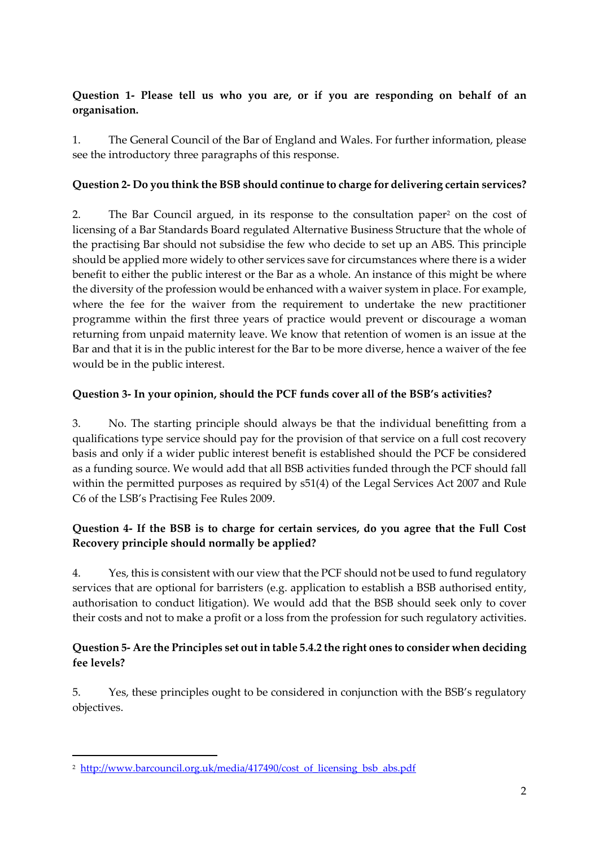## **Question 1- Please tell us who you are, or if you are responding on behalf of an organisation.**

1. The General Council of the Bar of England and Wales. For further information, please see the introductory three paragraphs of this response.

## **Question 2- Do you think the BSB should continue to charge for delivering certain services?**

2. The Bar Council argued, in its response to the consultation paper<sup>2</sup> on the cost of licensing of a Bar Standards Board regulated Alternative Business Structure that the whole of the practising Bar should not subsidise the few who decide to set up an ABS. This principle should be applied more widely to other services save for circumstances where there is a wider benefit to either the public interest or the Bar as a whole. An instance of this might be where the diversity of the profession would be enhanced with a waiver system in place. For example, where the fee for the waiver from the requirement to undertake the new practitioner programme within the first three years of practice would prevent or discourage a woman returning from unpaid maternity leave. We know that retention of women is an issue at the Bar and that it is in the public interest for the Bar to be more diverse, hence a waiver of the fee would be in the public interest.

## **Question 3- In your opinion, should the PCF funds cover all of the BSB's activities?**

3. No. The starting principle should always be that the individual benefitting from a qualifications type service should pay for the provision of that service on a full cost recovery basis and only if a wider public interest benefit is established should the PCF be considered as a funding source. We would add that all BSB activities funded through the PCF should fall within the permitted purposes as required by s51(4) of the Legal Services Act 2007 and Rule C6 of the LSB's Practising Fee Rules 2009.

# **Question 4- If the BSB is to charge for certain services, do you agree that the Full Cost Recovery principle should normally be applied?**

4. Yes, this is consistent with our view that the PCF should not be used to fund regulatory services that are optional for barristers (e.g. application to establish a BSB authorised entity, authorisation to conduct litigation). We would add that the BSB should seek only to cover their costs and not to make a profit or a loss from the profession for such regulatory activities.

## **Question 5- Are the Principles set out in table 5.4.2 the right ones to consider when deciding fee levels?**

5. Yes, these principles ought to be considered in conjunction with the BSB's regulatory objectives.

 $\overline{a}$ 

<sup>&</sup>lt;sup>2</sup> [http://www.barcouncil.org.uk/media/417490/cost\\_of\\_licensing\\_bsb\\_abs.pdf](http://www.barcouncil.org.uk/media/417490/cost_of_licensing_bsb_abs.pdf)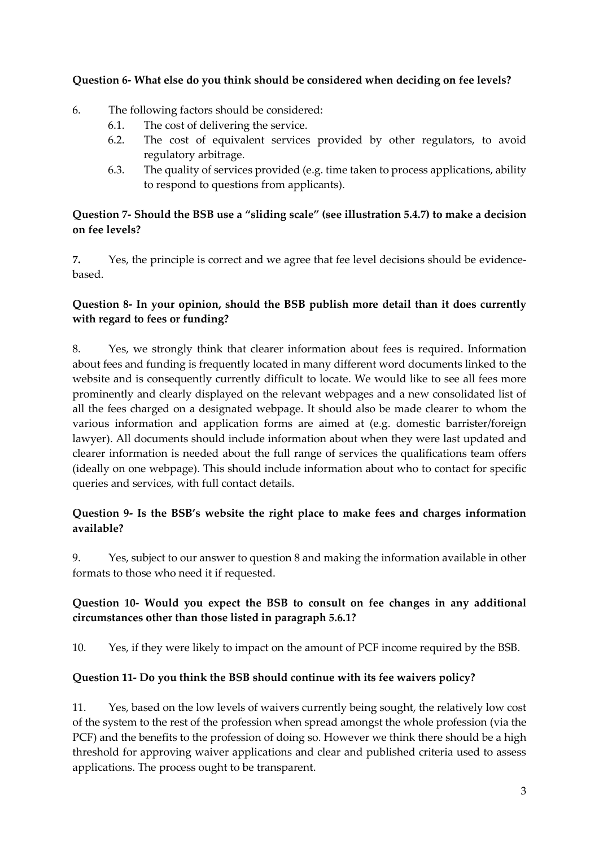## **Question 6- What else do you think should be considered when deciding on fee levels?**

## 6. The following factors should be considered:

- 6.1. The cost of delivering the service.
- 6.2. The cost of equivalent services provided by other regulators, to avoid regulatory arbitrage.
- 6.3. The quality of services provided (e.g. time taken to process applications, ability to respond to questions from applicants).

### **Question 7- Should the BSB use a "sliding scale" (see illustration 5.4.7) to make a decision on fee levels?**

**7.** Yes, the principle is correct and we agree that fee level decisions should be evidencebased.

## **Question 8- In your opinion, should the BSB publish more detail than it does currently with regard to fees or funding?**

8. Yes, we strongly think that clearer information about fees is required. Information about fees and funding is frequently located in many different word documents linked to the website and is consequently currently difficult to locate. We would like to see all fees more prominently and clearly displayed on the relevant webpages and a new consolidated list of all the fees charged on a designated webpage. It should also be made clearer to whom the various information and application forms are aimed at (e.g. domestic barrister/foreign lawyer). All documents should include information about when they were last updated and clearer information is needed about the full range of services the qualifications team offers (ideally on one webpage). This should include information about who to contact for specific queries and services, with full contact details.

## **Question 9- Is the BSB's website the right place to make fees and charges information available?**

9. Yes, subject to our answer to question 8 and making the information available in other formats to those who need it if requested.

# **Question 10- Would you expect the BSB to consult on fee changes in any additional circumstances other than those listed in paragraph 5.6.1?**

10. Yes, if they were likely to impact on the amount of PCF income required by the BSB.

# **Question 11- Do you think the BSB should continue with its fee waivers policy?**

11. Yes, based on the low levels of waivers currently being sought, the relatively low cost of the system to the rest of the profession when spread amongst the whole profession (via the PCF) and the benefits to the profession of doing so. However we think there should be a high threshold for approving waiver applications and clear and published criteria used to assess applications. The process ought to be transparent.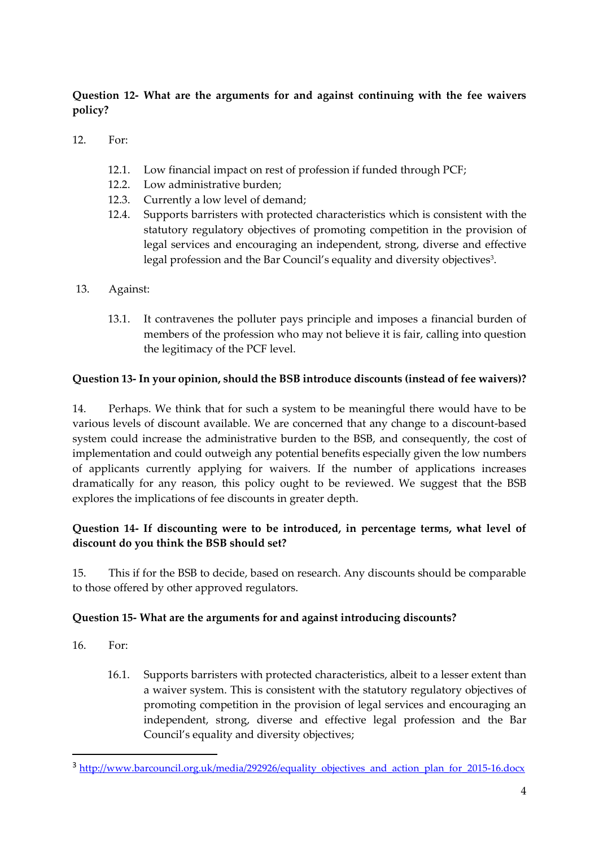# **Question 12- What are the arguments for and against continuing with the fee waivers policy?**

- 12. For:
	- 12.1. Low financial impact on rest of profession if funded through PCF;
	- 12.2. Low administrative burden;
	- 12.3. Currently a low level of demand;
	- 12.4. Supports barristers with protected characteristics which is consistent with the statutory regulatory objectives of promoting competition in the provision of legal services and encouraging an independent, strong, diverse and effective legal profession and the Bar Council's equality and diversity objectives<sup>3</sup>.
- 13. Against:
	- 13.1. It contravenes the polluter pays principle and imposes a financial burden of members of the profession who may not believe it is fair, calling into question the legitimacy of the PCF level.

#### **Question 13- In your opinion, should the BSB introduce discounts (instead of fee waivers)?**

14. Perhaps. We think that for such a system to be meaningful there would have to be various levels of discount available. We are concerned that any change to a discount-based system could increase the administrative burden to the BSB, and consequently, the cost of implementation and could outweigh any potential benefits especially given the low numbers of applicants currently applying for waivers. If the number of applications increases dramatically for any reason, this policy ought to be reviewed. We suggest that the BSB explores the implications of fee discounts in greater depth.

## **Question 14- If discounting were to be introduced, in percentage terms, what level of discount do you think the BSB should set?**

15. This if for the BSB to decide, based on research. Any discounts should be comparable to those offered by other approved regulators.

#### **Question 15- What are the arguments for and against introducing discounts?**

16. For:

1

16.1. Supports barristers with protected characteristics, albeit to a lesser extent than a waiver system. This is consistent with the statutory regulatory objectives of promoting competition in the provision of legal services and encouraging an independent, strong, diverse and effective legal profession and the Bar Council's equality and diversity objectives;

<sup>&</sup>lt;sup>3</sup> [http://www.barcouncil.org.uk/media/292926/equality\\_objectives\\_and\\_action\\_plan\\_for\\_2015-16.docx](http://www.barcouncil.org.uk/media/292926/equality_objectives_and_action_plan_for_2015-16.docx)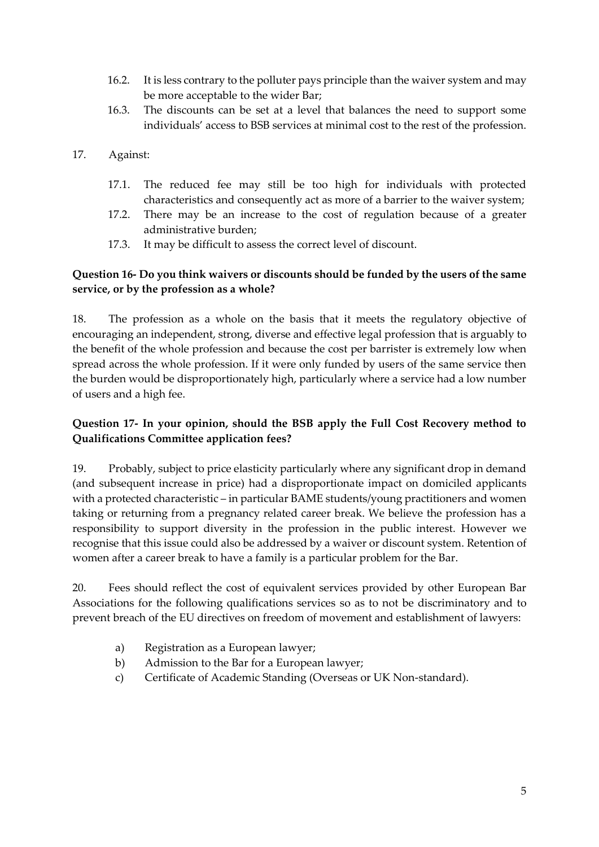- 16.2. It is less contrary to the polluter pays principle than the waiver system and may be more acceptable to the wider Bar;
- 16.3. The discounts can be set at a level that balances the need to support some individuals' access to BSB services at minimal cost to the rest of the profession.
- 17. Against:
	- 17.1. The reduced fee may still be too high for individuals with protected characteristics and consequently act as more of a barrier to the waiver system;
	- 17.2. There may be an increase to the cost of regulation because of a greater administrative burden;
	- 17.3. It may be difficult to assess the correct level of discount.

### **Question 16- Do you think waivers or discounts should be funded by the users of the same service, or by the profession as a whole?**

18. The profession as a whole on the basis that it meets the regulatory objective of encouraging an independent, strong, diverse and effective legal profession that is arguably to the benefit of the whole profession and because the cost per barrister is extremely low when spread across the whole profession. If it were only funded by users of the same service then the burden would be disproportionately high, particularly where a service had a low number of users and a high fee.

## **Question 17- In your opinion, should the BSB apply the Full Cost Recovery method to Qualifications Committee application fees?**

19. Probably, subject to price elasticity particularly where any significant drop in demand (and subsequent increase in price) had a disproportionate impact on domiciled applicants with a protected characteristic – in particular BAME students/young practitioners and women taking or returning from a pregnancy related career break. We believe the profession has a responsibility to support diversity in the profession in the public interest. However we recognise that this issue could also be addressed by a waiver or discount system. Retention of women after a career break to have a family is a particular problem for the Bar.

20. Fees should reflect the cost of equivalent services provided by other European Bar Associations for the following qualifications services so as to not be discriminatory and to prevent breach of the EU directives on freedom of movement and establishment of lawyers:

- a) Registration as a European lawyer;
- b) Admission to the Bar for a European lawyer;
- c) Certificate of Academic Standing (Overseas or UK Non-standard).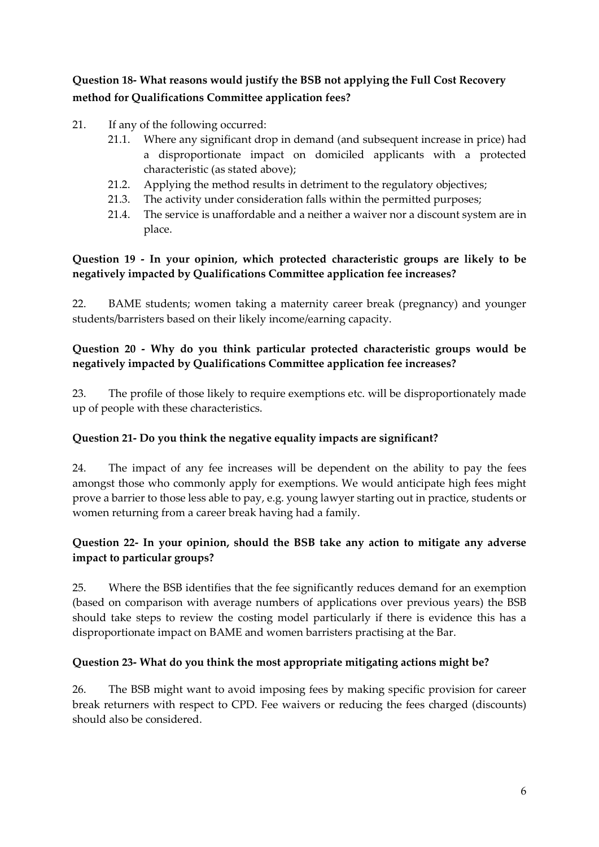**Question 18- What reasons would justify the BSB not applying the Full Cost Recovery method for Qualifications Committee application fees?**

- 21. If any of the following occurred:
	- 21.1. Where any significant drop in demand (and subsequent increase in price) had a disproportionate impact on domiciled applicants with a protected characteristic (as stated above);
	- 21.2. Applying the method results in detriment to the regulatory objectives;
	- 21.3. The activity under consideration falls within the permitted purposes;
	- 21.4. The service is unaffordable and a neither a waiver nor a discount system are in place.

### **Question 19 - In your opinion, which protected characteristic groups are likely to be negatively impacted by Qualifications Committee application fee increases?**

22. BAME students; women taking a maternity career break (pregnancy) and younger students/barristers based on their likely income/earning capacity.

## **Question 20 - Why do you think particular protected characteristic groups would be negatively impacted by Qualifications Committee application fee increases?**

23. The profile of those likely to require exemptions etc. will be disproportionately made up of people with these characteristics.

#### **Question 21- Do you think the negative equality impacts are significant?**

24. The impact of any fee increases will be dependent on the ability to pay the fees amongst those who commonly apply for exemptions. We would anticipate high fees might prove a barrier to those less able to pay, e.g. young lawyer starting out in practice, students or women returning from a career break having had a family.

#### **Question 22- In your opinion, should the BSB take any action to mitigate any adverse impact to particular groups?**

25. Where the BSB identifies that the fee significantly reduces demand for an exemption (based on comparison with average numbers of applications over previous years) the BSB should take steps to review the costing model particularly if there is evidence this has a disproportionate impact on BAME and women barristers practising at the Bar.

#### **Question 23- What do you think the most appropriate mitigating actions might be?**

26. The BSB might want to avoid imposing fees by making specific provision for career break returners with respect to CPD. Fee waivers or reducing the fees charged (discounts) should also be considered.